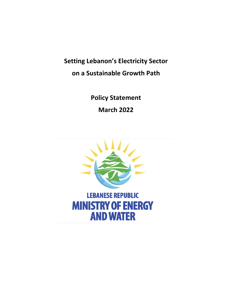**Setting Lebanon's Electricity Sector on a Sustainable Growth Path**

> **Policy Statement March 2022**

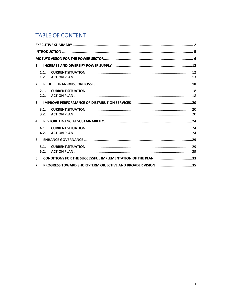# **TABLE OF CONTENT**

| $\mathbf{1}$ . |                                                             |  |
|----------------|-------------------------------------------------------------|--|
| 1.1.<br>1.2.   |                                                             |  |
| 2 <sub>1</sub> |                                                             |  |
| 2.1.<br>2.2.   |                                                             |  |
| 3.             |                                                             |  |
| 3.1.<br>3.2.   |                                                             |  |
| 4.             |                                                             |  |
| 4.1.<br>4.2.   |                                                             |  |
| 5.             |                                                             |  |
| 5.1.<br>5.2.   |                                                             |  |
| 6.             | CONDITIONS FOR THE SUCCESSFUL IMPLEMENTATION OF THE PLAN 33 |  |
| 7.             | PROGRESS TOWARD SHORT-TERM OBJECTIVE AND BROADER VISION 35  |  |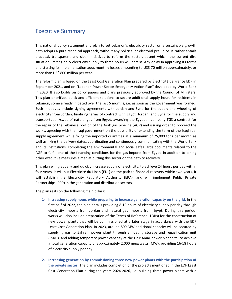## Executive Summary

This national policy statement and plan to set Lebanon's electricity sector on a sustainable growth path adopts a pure technical approach, without any political or electoral prejudice. It rather entails practical, transparent and clear initiatives to reform the sector, absent which, the current dire situation limiting daily electricity supply to three hours will persist. Any delay in approving its terms and starting its implementation adds monthly losses amounting to US\$ 70 million approximately, or more than US\$ 800 million per year.

The reform plan is based on the Least Cost Generation Plan prepared by Électricité de France EDF in September 2021, and on "Lebanon Power Sector Emergency Action Plan" developed by World Bank in 2020. It also builds on policy papers and plans previously approved by the Council of Ministers. This plan prioritizes quick and efficient solutions to secure additional supply hours for residents in Lebanon, some already initiated over the last 5 months, i.e. as soon as the government was formed. Such initiatives include signing agreements with Jordan and Syria for the supply and wheeling of electricity from Jordan, finalizing terms of contract with Egypt, Jordan, and Syria for the supply and transportation/swap of natural gas from Egypt, awarding the Egyptian company TGS a contract for the repair of the Lebanese portion of the Arab gas pipeline (AGP) and issuing order to proceed the works, agreeing with the Iraqi government on the possibility of extending the term of the Iraqi fuel supply agreement while fixing the imported quantities at a minimum of 75,000 tons per month as well as fixing the delivery dates, coordinating and continuously communicating with the World Bank and its institutions, completing the environmental and social safeguards documents related to the AGP to fulfill one of the financing conditions for the gas imports from Egypt, in addition to taking other executive measures aimed at putting this sector on the path to recovery.

This plan will gradually and quickly increase supply of electricity, to achieve 24 hours per day within four years, it will put Electricité du Liban (EDL) on the path to financial recovery within two years, it will establish the Electricity Regulatory Authority (ERA), and will implement Public Private Partnerships (PPP) in the generation and distribution sectors.

The plan rests on the following main pillars:

- **1‐ Increasing supply hours while preparing to increase generation capacity on the grid.** In the first half of 2022, the plan entails providing 8‐10 hours of electricity supply per day through electricity imports from Jordan and natural gas imports from Egypt. During this period, works will also include preparation of the Terms of Reference (TORs) for the construction of new power plants that will be commissioned at a later stage in accordance with the EDF Least Cost Generation Plan. In 2023, around 800 MW additional capacity will be secured by supplying gas to Zahrani power plant through a floating storage and regasification unit (FSRU), and adding temporary power capacity at the Deir Amar power plant site, to achieve a total generation capacity of approximately 2,000 megawatts (MW), providing 16‐18 hours of electricity supply per day.
- **2‐ Increasing generation by commissioning three new power plants with the participation of the private sector.** The plan includes completion of the projects mentioned in the EDF Least Cost Generation Plan during the years 2024‐2026, i.e. building three power plants with a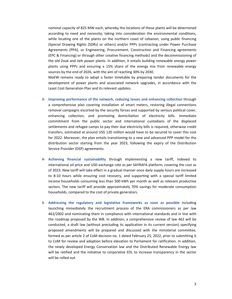nominal capacity of 825 MW each, whereby the locations of these plants will be determined according to need and necessity, taking into consideration the environmental conditions, while locating one of the plants on the northern coast of Lebanon, using public financing (Special Drawing Rights (SDRs) or others) and/or PPPs (contracting under Power Purchase Agreements (PPA), or Engineering, Procurement, Construction and Financing agreements (EPC & Financing) or through other creative financing methods) and the decommissioning of the old Zouk and Jieh power plants. In addition, it entails building renewable energy power plants using PPPs and ensuring a 15% share of the energy mix from renewable energy sources by the end of 2026, with the aim of reaching 30% by 2030.

MoEW remains ready to adopt a faster timetable by preparing tender documents for the development of power plants and associated network upgrades, in accordance with the Least Cost Generation Plan and its relevant updates.

- **3‐ Improving performance of the network, reducing losses and enhancing collection** through a comprehensive plan covering installation of smart meters, restoring illegal connections removal campaigns escorted by the security forces and supported by serious political cover, enhancing collection, and promoting domiciliation of electricity bills. Immediate commitment from the public sector and international custodians of the displaced settlements and refugee camps to pay their due electricity bills is required, otherwise credit transfers, estimated at around US\$ 120 million would have to be secured to cover this cost for 2022. Moreover, the plan entails transitioning to a new and advanced PPP model for the distribution sector starting from the year 2023, following the expiry of the Distribution Service Provider (DSP) agreements.
- **4‐ Achieving financial sustainability** through implementing a new tariff, indexed to international oil price and USD exchange rate as per SAYRAFA platform, covering the cost as of 2023. New tariff will take effect in a gradual manner once daily supply hours are increased to 8‐10 hours while ensuring cost recovery, and supporting with a special tariff limited income households consuming less than 500 kWh per month as well as relevant productive sectors. The new tariff will provide approximately 70% savings for moderate consumption households, compared to the cost of private generators.
- **5‐ Addressing the regulatory and legislative frameworks as soon as possible** including launching immediately the recruitment process of the ERA commissioners as per law 462/2002 and nominating them in compliance with international standards and in line with the roadmap proposed by the WB. In addition, a comprehensive review of law 462 will be conducted, a draft law (without precluding its application in its current version) specifying proposed amendments will be prepared and discussed with the ministerial committee, formed as per article 2 of CoM decision no. 1 dated February 25, 2022, prior to submitting it to CoM for review and adoption before elevation to Parliament for ratification. In addition, the newly developed Energy Conservation law and the Distributed Renewable Energy law will be ratified and the initiative to corporatize EDL to increase transparency in the sector will be rolled out.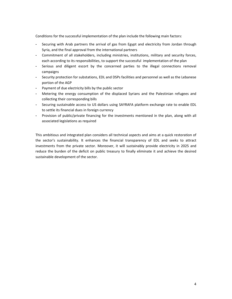Conditions for the successful implementation of the plan include the following main factors:

- Securing with Arab partners the arrival of gas from Egypt and electricity from Jordan through Syria, and the final approval from the international partners
- Commitment of all stakeholders, including ministries, institutions, military and security forces, each according to its responsibilities, to support the successful implementation of the plan
- Serious and diligent escort by the concerned parties to the illegal connections removal campaigns
- Security protection for substations, EDL and DSPs facilities and personnel as well as the Lebanese portion of the AGP
- Payment of due electricity bills by the public sector
- Metering the energy consumption of the displaced Syrians and the Palestinian refugees and collecting their corresponding bills
- Securing sustainable access to US dollars using SAYRAFA platform exchange rate to enable EDL to settle its financial dues in foreign currency
- Provision of public/private financing for the investments mentioned in the plan, along with all associated legislations as required

This ambitious and integrated plan considers all technical aspects and aims at a quick restoration of the sector's sustainability. It enhances the financial transparency of EDL and seeks to attract investments from the private sector. Moreover, it will sustainably provide electricity in 2025 and reduce the burden of the deficit on public treasury to finally eliminate it and achieve the desired sustainable development of the sector.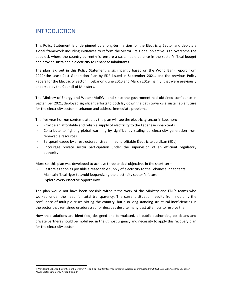## INTRODUCTION

This Policy Statement is underpinned by a long‐term vision for the Electricity Sector and depicts a global framework including initiatives to reform the Sector. Its global objective is to overcome the deadlock where the country currently is, ensure a sustainable balance in the sector's fiscal budget and provide sustainable electricity to Lebanese inhabitants.

The plan laid out in this Policy Statement is significantly based on the World Bank report from 2020<sup>1</sup>, the Least Cost Generation Plan by EDF issued in September 2021, and the previous Policy Papers for the Electricity Sector in Lebanon (June 2010 and March 2019 mainly) that were previously endorsed by the Council of Ministers.

The Ministry of Energy and Water (MoEW), and since the government had obtained confidence in September 2021, deployed significant efforts to both lay down the path towards a sustainable future for the electricity sector in Lebanon and address immediate problems.

The five-year horizon contemplated by the plan will see the electricity sector in Lebanon:

- Provide an affordable and reliable supply of electricity to the Lebanese inhabitants
- Contribute to fighting global warming by significantly scaling up electricity generation from renewable resources
- Be spearheaded by a restructured, streamlined, profitable Électricité du Liban (EDL)
- Encourage private sector participation under the supervision of an efficient regulatory authority

More so, this plan was developed to achieve three critical objectives in the short‐term

- Restore as soon as possible a reasonable supply of electricity to the Lebanese inhabitants
- Maintain fiscal rigor to avoid jeopardizing the electricity sector 's future
- Explore every effective opportunity

The plan would not have been possible without the work of the Ministry and EDL's teams who worked under the need for total transparency. The current situation results from not only the confluence of multiple crises hitting the country, but also long‐standing structural inefficiencies in the sector that remained unaddressed for decades despite many past attempts to resolve them.

Now that solutions are identified, designed and formulated, all public authorities, politicians and private partners should be mobilized in the utmost urgency and necessity to apply this recovery plan for the electricity sector.

<sup>1</sup> World Bank Lebanon Power Sector Emergency Action Plan, 2020 (https://documents1.worldbank.org/curated/en/500281593636676732/pdf/Lebanon‐ Power‐Sector‐Emergency‐Action‐Plan.pdf)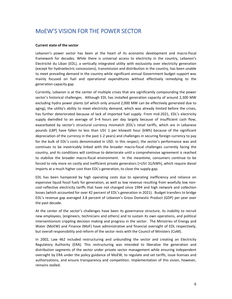# MoEW'S VISION FOR THE POWER SECTOR

#### **Current state of the sector**

Lebanon's power sector has been at the heart of its economic development and macro‐fiscal framework for decades. While there is universal access to electricity in the country, Lebanon's Electricité du Liban (EDL), a vertically integrated utility with exclusivity over electricity generation (except for hydroelectric concessions), transmission and distribution in the country, has been unable to meet prevailing demand in the country while significant annual Government budget support was mainly focused on fuel and operational expenditures without effectively remedying to the generation capacity gap.

Currently, Lebanon is at the center of multiple crises that are significantly compounding the power sector's historical challenges. Although EDL has installed generation capacity of around 2,300 MW excluding hydro power plants (of which only around 2,000 MW can be effectively generated due to aging), the utility's ability to meet electricity demand, which was already limited before the crises, has further deteriorated because of lack of imported fuel supply. From mid-2021, EDL's electricity supply dwindled to an average of 3–4 hours per day largely because of insufficient cash flow, exacerbated by sector's structural currency mismatch (EDL's retail tariffs, which are in Lebanese pounds (LBP) have fallen to less than US¢ 1 per kilowatt hour (kWh) because of the significant depreciation of the currency in the past 1‐2 years) and challenges in securing foreign currency to pay for the bulk of EDL's costs denominated in USD. In this respect, the sector's performance was and continues to be inextricably linked with the broader macro-fiscal challenges currently facing the country, and its conditions will continue to deteriorate until a comprehensive agreement is reached to stabilize the broader macro-fiscal environment. In the meantime, consumers continue to be forced to rely more on costly and inefficient private generators (>US¢ 31/kWh), which require diesel imports at a much higher cost than EDL's generation, to close the supply gap.

EDL has been hampered by high operating costs due to operating inefficiency and reliance on expensive liquid fossil fuels for generation, as well as low revenue resulting from woefully low non‐ cost-reflective electricity tariffs that have not changed since 1994 and high network and collection losses (which accounted for over 42 percent of EDL's generation in 2021). Budget transfers to bridge EDL's revenue gap averaged 3.8 percent of Lebanon's Gross Domestic Product (GDP) per year over the past decade.

At the center of the sector's challenges have been its governance structure, its inability to recruit new employees, (engineers, technicians and others) and to sustain its own operations, and political interventionism crippling decision making and progress in the sector. The Ministries of Energy and Water (MoEW) and Finance (MoF) have administrative and financial oversight of EDL respectively, but overall responsibility and reform of the sector rests with the Council of Ministers (CoM).

In 2002, Law 462 included restructuring and unbundling the sector and creating an Electricity Regulatory Authority (ERA). This restructuring was intended to liberalize the generation and distribution segments of the sector under private sector management while ensuring independent oversight by ERA under the policy guidance of MoEW, to regulate and set tariffs, issue licenses and authorizations, and ensure transparency and competition. Implementation of this vision, however, remains stalled.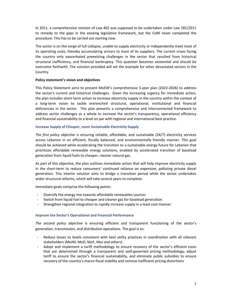In 2011, a comprehensive revision of Law 462 was supposed to be undertaken under Law 181/2011 to remedy to the gaps in the existing legislative framework, but the CoM never completed the procedure. This has to be carried out starting now.

The sector is on the verge of full collapse, unable to supply electricity or independently meet most of its operating costs, thereby accumulating arrears to most of its suppliers. The current crises facing the country only exacerbated preexisting challenges in the sector that resulted from historical structural inefficiency, and financial bankruptcy. This question becomes existential and should be overcome forthwith. The solution provided will set the example for other devastated sectors in the Country.

### **Policy statement's vision and objectives**

This Policy Statement aims to present MoEW's comprehensive 5‐year plan (2022‐2026) to address the sector's current and historical challenges. Given the increasing urgency for immediate action, the plan includes short‐term action to increase electricity supply in the country within the context of a long‐term vision to tackle entrenched structural, operational, institutional and financial deficiencies in the sector. This plan presents a comprehensive and interconnected framework to address sector challenges as a whole to increase the sector's transparency, operational efficiency and financial sustainability to a level on par with regional and international best practice.

### **Increase Supply of Cheaper, more Sustainable Electricity Supply**

*The first policy objective* is ensuring reliable, affordable, and sustainable (24/7) electricity services across Lebanon in an efficient, fiscally balanced, and environmentally friendly manner. This goal should be achieved while accelerating the transition to a sustainable energy future for Lebanon that prioritizes affordable renewable energy solutions, enabled by accelerated transition of baseload generation from liquid fuels to cheaper, cleaner natural gas.

As part of this objective, the plan outlines immediate action that will help improve electricity supply in the short-term to reduce consumers' continued reliance on expensive, polluting private diesel generation. This interim solution aims to bridge a transition period while the sector undertakes wider structural reforms, which will take several years to complete.

Immediate goals comprise the following points:

- ‐ Diversify the energy mix towards affordable renewables sources
- Switch from liquid fuel to cheaper and cleaner gas for baseload generation
- ‐ Strengthen regional integration to rapidly increase supply in a least cost manner

### **Improve the Sector's Operational and Financial Performance**

*The second policy objective* is ensuring efficient and transparent functioning of the sector's generation, transmission, and distribution operations. The goal is to:

- Reduce losses to levels consistent with best utility practices in coordination with all relevant stakeholders (MoIM, MoD, MoF, MoJ and others)
- Adopt and implement a tariff methodology to ensure recovery of the sector's efficient costs that are determined through a transparent and well-governed pricing methodology, adjust tariff to ensure the sector's financial sustainability, and eliminate public subsidies to ensure recovery of the country's macro‐fiscal stability and remove inefficient pricing distortions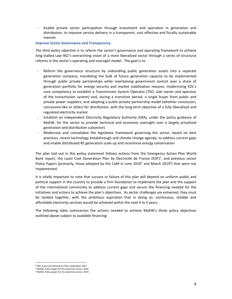‐ Enable private sector participation through investment and operation in generation and distribution, to improve service delivery in a transparent, cost effective and fiscally sustainable manner

#### **Improve Sector Governance and Transparency**

*The third policy objective* is to reform the sector's governance and operating framework to achieve long‐stalled Law 462's overarching vision of a more liberalized sector through a series of structural reforms in the sector's operating and oversight model. The goal is to:

- Reform the governance structure by unbundling public generation assets into a separate generation company; mandating the bulk of future generation capacity to be implemented through public private partnerships while maintaining government control over a share of generation portfolio for energy security and market stabilization reasons; modernizing EDL's core competency to establish a Transmission System Operator (TSO, sole owner and operator of the transmission system) and, during a transition period, a single buyer from public and private power suppliers; and adopting a public‐private partnership model (whether concession, concession‐like or other) for distribution, with the long‐term objective of a fully liberalized and regulated electricity market
- Establish an independent Electricity Regulatory Authority (ERA), under the policy guidance of MoEW, for the sector to provide technical and economic oversight over a largely privatized generation and distribution subsectors
- ‐ Modernize and consolidate the legislative framework governing the sector, based on best practices, recent technology breakthrough and climate change agenda, to address current gaps and enable distributed RE generation scale up and incentivize energy conservation

The plan laid out in this policy statement follows actions from the Emergency Action Plan World Bank report, the Least Cost Generation Plan by Électricité de France (EDF)<sup>2</sup>, and previous sector Policy Papers (primarily, those adopted by the CoM in June 2010<sup>3</sup> and March 2019<sup>4</sup>) that were not implemented.

It is vitally important to note that success or failure of this plan will depend on uniform public and political support in the country to provide a firm foundation to implement the plan and the support of the international community to address current gaps and secure the financing needed for the initiatives and actions to achieve the plan's objectives. As sector challenges are entwined, they must be tackled together, with the ambitious aspiration that in doing so, continuous, reliable and affordable electricity services would be achieved within the next 4 to 5 years.

The following table summarizes the actions needed to achieve MoEW's three policy objectives outlined above subject to available financing:

 <sup>2</sup> EDF Least Cost Generation Plan, September 2021

<sup>3</sup> MoEW, Policy paper for the electricity sector, 2010

<sup>4</sup> MoEW, Policy paper for the electricity sector, 2019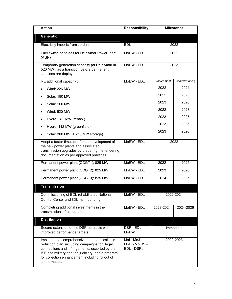| <b>Action</b>                                                                                                                                                                                                                                                              | <b>Responsibility</b>                     | <b>Milestones</b> |               |  |
|----------------------------------------------------------------------------------------------------------------------------------------------------------------------------------------------------------------------------------------------------------------------------|-------------------------------------------|-------------------|---------------|--|
| <b>Generation</b>                                                                                                                                                                                                                                                          |                                           |                   |               |  |
| Electricity imports from Jordan                                                                                                                                                                                                                                            | <b>EDL</b>                                | 2022              |               |  |
| Fuel switching to gas for Deir Amar Power Plant<br>(AGP)                                                                                                                                                                                                                   | MoEW - EDL                                |                   | 2022          |  |
| Temporary generation capacity (at Deir Amar III -<br>520 MW), as a transition before permanent<br>solutions are deployed                                                                                                                                                   | MoEW - EDL                                |                   | 2023          |  |
| RE additional capacity :                                                                                                                                                                                                                                                   | MoEW - EDL                                | Procurement       | Commissioning |  |
| Wind: 226 MW                                                                                                                                                                                                                                                               |                                           | 2022              | 2024          |  |
| Solar: 180 MW                                                                                                                                                                                                                                                              |                                           | 2022              | 2023          |  |
| Solar: 200 MW                                                                                                                                                                                                                                                              |                                           | 2023              | 2026          |  |
| Wind: 520 MW                                                                                                                                                                                                                                                               |                                           | 2022              | 2028          |  |
| Hydro: 282 MW (rehab.)                                                                                                                                                                                                                                                     |                                           | 2023              | 2025          |  |
| Hydro: 112 MW (greenfield)                                                                                                                                                                                                                                                 |                                           | 2023              | 2025          |  |
| Solar: 300 MW (+ 210 MW storage)                                                                                                                                                                                                                                           |                                           | 2023              | 2026          |  |
| Adopt a faster timetable for the development of<br>the new power plants and associated<br>transmission upgrades by preparing the tendering<br>documentation as per approved practices                                                                                      | MoEW - EDL                                | 2022              |               |  |
| Permanent power plant (CCGT1): 825 MW                                                                                                                                                                                                                                      | MoEW - EDL                                | 2022              | 2025          |  |
| Permanent power plant (CCGT2): 825 MW                                                                                                                                                                                                                                      | MoEW - EDL                                | 2023              | 2026          |  |
| Permanent power plant (CCGT3): 825 MW                                                                                                                                                                                                                                      | MoEW - EDL                                | 2024              | 2027          |  |
| <b>Transmission</b>                                                                                                                                                                                                                                                        |                                           |                   |               |  |
| Commissioning of EDL rehabilitated National<br>Control Center and EDL main building                                                                                                                                                                                        | MoEW - EDL                                |                   | 2022-2024     |  |
| Completing additional investments in the<br>transmission infrastructures                                                                                                                                                                                                   | MoEW - EDL                                | 2023-2024         | 2024-2026     |  |
| <b>Distribution</b>                                                                                                                                                                                                                                                        |                                           |                   |               |  |
| Secure extension of the DSP contracts with<br>improved performance targets                                                                                                                                                                                                 | DSP - EDL -<br><b>MoEW</b>                |                   | immediate     |  |
| Implement a comprehensive non-technical loss<br>reduction plan, including campaigns for illegal<br>connections and infringements, escorted by the<br>ISF, the military and the judiciary, and a program<br>for collection enhancement including rollout of<br>smart meters | Mol - MoJ -<br>MoD - MoEW -<br>EDL - DSPs |                   | 2022-2023     |  |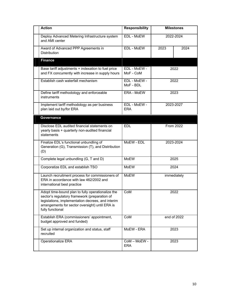| <b>Action</b>                                                                                                                                                                                                                  | <b>Responsibility</b>      | <b>Milestones</b> |             |
|--------------------------------------------------------------------------------------------------------------------------------------------------------------------------------------------------------------------------------|----------------------------|-------------------|-------------|
| Deploy Advanced Metering Infrastructure system<br>and AMI center                                                                                                                                                               | EDL - MoEW                 |                   | 2022-2024   |
| Award of Advanced PPP Agreements in<br><b>Distribution</b>                                                                                                                                                                     | EDL - MoEW                 | 2023              | 2024        |
| <b>Finance</b>                                                                                                                                                                                                                 |                            |                   |             |
| Base tariff adjustments + indexation to fuel price<br>and FX concurrently with increase in supply hours                                                                                                                        | EDL - MoEW -<br>MoF - CoM  |                   | 2022        |
| Establish cash waterfall mechanism                                                                                                                                                                                             | EDL - MoEW -<br>MoF - BDL  |                   | 2022        |
| Define tariff methodology and enforceable<br>instruments                                                                                                                                                                       | ERA - MoEW                 |                   | 2023        |
| Implement tariff methodology as per business<br>plan laid out by/for ERA                                                                                                                                                       | EDL - MoEW -<br><b>ERA</b> |                   | 2023-2027   |
| Governance                                                                                                                                                                                                                     |                            |                   |             |
| Disclose EDL audited financial statements on<br>yearly basis + quarterly non-audited financial<br>statements                                                                                                                   | <b>FDI</b>                 |                   | From 2022   |
| Finalize EDL's functional unbundling of<br>Generation (G), Transmission (T), and Distribution<br>(D)                                                                                                                           | MoEW - EDL                 |                   | 2023-2024   |
| Complete legal unbundling (G, T and D)                                                                                                                                                                                         | MoEW                       |                   | 2025        |
| Corporatize EDL and establish TSO                                                                                                                                                                                              | MoEW                       |                   | 2024        |
| Launch recruitment process for commissioners of<br>ERA in accordance with law 462/2002 and<br>international best practice                                                                                                      | <b>MoEW</b>                |                   | immediately |
| Adopt time-bound plan to fully operationalize the<br>sector's regulatory framework (preparation of<br>legislations, implementation decrees, and interim<br>arrangements for sector oversight) until ERA is<br>fully functional | CoM                        |                   | 2022        |
| Establish ERA (commissioners' appointment,<br>budget approved and funded)                                                                                                                                                      | CoM                        |                   | end of 2022 |
| Set up internal organization and status, staff<br>recruited                                                                                                                                                                    | MoEW - ERA                 |                   | 2023        |
| Operationalize ERA                                                                                                                                                                                                             | CoM - MoEW -<br><b>ERA</b> |                   | 2023        |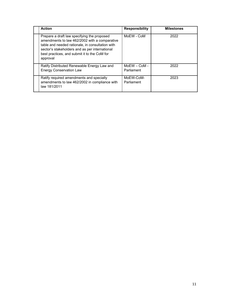| <b>Action</b>                                                                                                                                                                                                                                                  | <b>Responsibility</b>        | <b>Milestones</b> |
|----------------------------------------------------------------------------------------------------------------------------------------------------------------------------------------------------------------------------------------------------------------|------------------------------|-------------------|
| Prepare a draft law specifying the proposed<br>amendments to law 462/2002 with a comparative<br>table and needed rationale, in consultation with<br>sector's stakeholders and as per international<br>best practices, and submit it to the CoM for<br>approval | MoEW - CoM                   | 2022              |
| Ratify Distributed Renewable Energy Law and<br><b>Energy Conservation Law</b>                                                                                                                                                                                  | $MoEW - CoM -$<br>Parliament | 2022              |
| Ratify required amendments and specially<br>amendments to law 462/2002 in compliance with<br>law 181/2011                                                                                                                                                      | MoEW-CoM-<br>Parliament      | 2023              |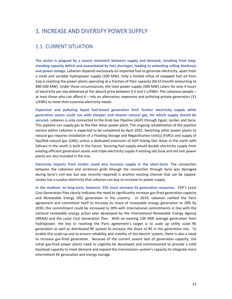## 1. INCREASE AND DIVERSIFY POWER SUPPLY

### 1.1. CURRENT SITUATION

**The sector is plagued by a severe mismatch between supply and demand, resulting from long‐ standing capacity deficit and exacerbated by fuel shortages, leading to extending rolling blackouts and power outage**. Lebanon depends exclusively on imported fuel to generate electricity, apart from a small and variable hydropower supply (100 MW). Only a limited influx of swapped fuel oil from Iraq is reaching the power plants operating at a fraction of their capacity (60 kT/month amounting to 400‐500 MW). Under these circumstances, the total power supply (500 MW) caters for only 4 hours of electricity per day delivered at the absurd price between 0.5 and 1 c/KWH. The Lebanese people – at least those who can afford it – rely on alternative, expensive and polluting private generators (31 c/kWh) to meet their essential electricity needs.

**Expensive and polluting liquid fuel‐based generation limit further electricity supply while generation assets could run with cheaper and cleaner natural gas, for which supply should be secured.** Lebanon is only connected to the Arab Gas Pipeline (AGP) through Egypt, Jordan and Syria. This pipeline can supply gas to the Deir Amar power plant. The ongoing rehabilitation of the pipeline section within Lebanon is expected to be completed by April 2022. Switching other power plants to natural gas requires installation of a Floating Storage and Regasification Unit(s) (FSRU) and supply of liquified natural gas (LNG), unless a dedicated extension of AGP linking Deir Amar in the north with Zahrani in the south is built in the future. Securing fuel supply would double electricity supply from existing efficient generation assets and triple electricity supply if existing old Zouk and old Jieh power plants are also included in the mix.

**Electricity imports from Jordan could also increase supply in the short‐term.** The connection between the Lebanese and Jordanian grids (though the connection through Syria was damaged during Syria's civil war but was recently repaired) is another existing channel that can be tapped. Jordan has a surplus electricity that Lebanon can buy to increase its power supply.

**In the medium‐ to long‐term, however, EDL must increase its generation resources.** EDF's Least Cost Generation Plan clearly indicates the need to significantly increase gas-fired generation capacity and Renewable Energy (RE) generation in the country. In 2019, Lebanon ratified the Paris agreement and committed itself to increase its share of renewable energy generation to 20% by 2030, this commitment could be increased to 30% with international commitments in line with the national renewable energy action plan developed by the International Renewable Energy Agency (IRENA) and the Least Cost Generation Plan. With an existing 100 MW average generation from hydropower, the key to reaching the Paris agreement's target is to scale up utility scale RE generation as well as distributed RE system to increase the share of RE in the generation mix. To enable this scale-up and to ensure reliability and stability of the electric system, there is also a need to increase gas‐fired generation. Because of the current severe lack of generation capacity, the initial gas‐fired power plants need to urgently be developed and commissioned to provide a solid baseload capacity to meet demand and expand the transmission system's capacity to integrate more intermittent RE generation and energy storage.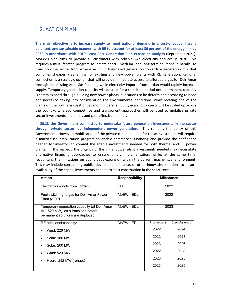### 1.2. ACTION PLAN

**The main objective is to increase supply to meet national demand in a cost‐effective, fiscally balanced, and sustainable manner, with RE to account for at least 30 percent of the energy mix by 2030 in accordance with EDF's Least Cost Generation Plan expansion analysis** (September 2021). MoEW's plan aims to provide all customers with reliable 24h electricity services in 2026. This requires a multi‐faceted program to initiate short‐, medium‐ and long‐term solutions in parallel to transition the sector from expensive liquid fuel‐based generation towards a generation mix that combines cheaper, cleaner gas for existing and new power plants with RE generation. Regional connection is a strategic option that will provide immediate access to affordable gas for Deir Amar through the existing Arab Gas Pipeline, while electricity imports from Jordan would rapidly increase supply. Temporary generation capacity will be used for a transition period until permanent capacity is commissioned through building new power plants in locations to be determined according to need and necessity, taking into consideration the environmental conditions, while locating one of the plants on the northern coast of Lebanon. In parallel, utility‐scale RE projects will be scaled up across the country, whereby competitive and transparent approaches will be used to mobilize private sector investments in a timely and cost-effective manner.

**In 2018, the Government committed to undertake future generation investments in the sector through private sector led independent power generation**. This remains the policy of this Government. However, mobilization of the private capital needed for these investments will require a macro‐fiscal stabilization program to enable commercial financing and provide the confidence needed for investors to commit the sizable investments needed for both thermal and RE power plants. In this respect, the urgency of the initial power plant investments needed may necessitate alternative financing approaches to ensure timely implementation, while, at the same time, recognizing the limitations on public debt expansion within the current macro‐fiscal environment. This may include considering public, development finance, or other innovative solutions to ensure availability of the capital investments needed to start construction in the short-term.

| <b>Action</b>                                                                                                              | <b>Responsibility</b> |             | <b>Milestones</b> |
|----------------------------------------------------------------------------------------------------------------------------|-----------------------|-------------|-------------------|
| Electricity imports from Jordan                                                                                            | <b>EDL</b>            |             | 2022              |
| Fuel switching to gas for Deir Amar Power<br>Plant (AGP)                                                                   | MoEW - EDL            |             | 2022              |
| Temporary generation capacity (at Deir Amar<br>$III - 520$ MW), as a transition before<br>permanent solutions are deployed | MoEW - EDL            |             | 2023              |
| RE additional capacity:                                                                                                    | MoEW - EDL            | Procurement | Commissioning     |
| Wind: 226 MW                                                                                                               |                       | 2022        | 2024              |
| Solar: 180 MW<br>$\bullet$                                                                                                 |                       | 2022        | 2023              |
| Solar: 200 MW                                                                                                              |                       | 2023        | 2026              |
| Wind: 520 MW                                                                                                               |                       | 2022        | 2028              |
| Hydro: 282 MW (rehab.)<br>٠                                                                                                |                       | 2023        | 2025              |
|                                                                                                                            |                       | 2023        | 2025              |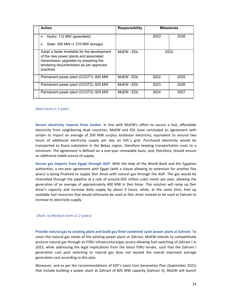| <b>Action</b>                                                                                                                                                                            | <b>Responsibility</b> |      | <b>Milestones</b> |
|------------------------------------------------------------------------------------------------------------------------------------------------------------------------------------------|-----------------------|------|-------------------|
| Hydro: 112 MW (greenfield)<br>Solar: 300 MW (+ 210 MW storage)                                                                                                                           |                       | 2023 | 2026              |
| Adopt a faster timetable for the development<br>of the new power plants and associated<br>transmission upgrades by preparing the<br>tendering documentation as per approved<br>practices | MoEW - EDL            |      | 2022              |
| Permanent power plant (CCGT1): 825 MW                                                                                                                                                    | MoEW - EDL            | 2022 | 2025              |
| Permanent power plant (CCGT2): 825 MW                                                                                                                                                    | MoEW - EDL            | 2023 | 2026              |
| Permanent power plant (CCGT3): 825 MW                                                                                                                                                    | MoEW - EDL            | 2024 | 2027              |

#### *Short‐term (< 1 year)*

**Secure electricity imports from Jordan**. In line with MoEW's effort to secure a fast, affordable electricity from neighboring Arab countries, MoEW and EDL have concluded an agreement with Jordan to import an average of 200 MW surplus Jordanian electricity, equivalent to around two hours of additional electricity supply per day on EDL's grid. Purchased electricity would be transported to Ksara substation in the Bekaa region, therefore keeping transportation costs to a minimum. The agreement is defined on a one-year renewable basis, and, therefore, should ensure an additional stable source of supply.

**Secure gas imports from Egypt through AGP**. With the help of the World Bank and the Egyptian authorities, a ten‐year agreement with Egypt (with a clause allowing its extension for another five years) is being finalized to supply Deir Amar with natural gas through the AGP. The gas would be channeled through the pipeline at a rate of around 650 million cubic meter per year, allowing the generation of an average of approximately 400 MW in Deir Amar. This solution will ramp up Deir Amar's capacity and increase daily supply by about 4 hours, while, at the same time, free up available fuel resources that would otherwise be used at Deir Amar instead to be used at Zahrani to increase its electricity supply.

#### *Short‐ to Medium‐term (1‐2 years)*

**Provide natural gas to existing plant and build gas‐fired combined cycle power plant at Zahrani**. To cover the natural gas needs of the existing power plant at Zahrani, MoEW intends to competitively procure natural gas through an FSRU infrastructure/gas access allowing fuel‐switching of Zahrani I in 2023, while addressing the legal implications from the latest FSRU tender, such that the Zahrani I generation cost post switching to natural gas does not exceed the overall improved average generation cost according to this plan.

Moreover, and as per the recommendations of EDF's Least Cost Generation Plan (September 2021) that include building a power plant at Zahrani of 825 MW capacity (Zahrani II), MoEW will launch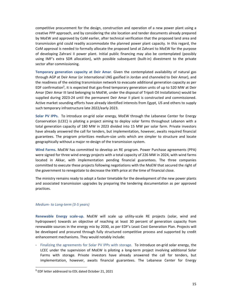competitive procurement for the design, construction and operation of a new power plant using a creative PPP approach, and by considering the site location and tender documents already prepared by MoEW and approved by CoM earlier, after technical verification that the proposed land area and transmission grid could readily accommodate the planned power plant capacity. In this regard, the CoM approval is needed to formally allocate the proposed land at Zahrani to MoEW for the purpose of developing Zahrani II power plant. Initial public financing may also be contemplated (possibly using IMF's extra SDR allocation), with possible subsequent (built‐in) divestment to the private sector after commissioning.

**Temporary generation capacity at Deir Amar**. Given the contemplated availability of natural gas through AGP at Deir Amar (or international LNG gasified in Jordan and channeled to Deir Amar), and the readiness of the existing transmission network to evacuate additional generation capacity as per EDF confirmation<sup>5</sup>, it is expected that gas-fired temporary generation units of up to 520 MW at Deir Amar (Deir Amar III land belonging to MoEW, under the disposal of Tripoli Oil Installations) would be supplied during 2023-24 until the permanent Deir Amar II plant is constructed and commissioned. Active market sounding efforts have already identified interests from Egypt, US and others to supply such temporary infrastructure late 2022/early 2023.

**Solar PV IPPs.** To introduce on‐grid solar energy, MoEW through the Lebanese Center for Energy Conservation (LCEC) is piloting a project aiming to deploy solar farms throughout Lebanon with a total generation capacity of 180 MW in 2023 divided into 15 MW per solar farm. Private investors have already answered the call for tenders, but implementation, however, awaits required financial guarantees. The program prioritizes medium‐size units which are simpler to structure and locate geographically without a major re‐design of the transmission system.

**Wind Farms.** MoEW has committed to develop an RE program. Power Purchase agreements (PPA) were signed for three wind energy projects with a total capacity of 226 MW in 2024, with wind farms located in Akkar, with implementation pending financial guarantees. The three companies committed to execute these projects following negotiations with the MoEW that secured the right of the government to renegotiate to decrease the kWh price at the time of financial close.

The ministry remains ready to adopt a faster timetable for the development of the new power plants and associated transmission upgrades by preparing the tendering documentation as per approved practices.

#### *Medium‐ to Long‐term (3‐5 years)*

**Renewable Energy scale‐up.** MoEW will scale up utility‐scale RE projects (solar, wind and hydropower) towards an objective of reaching at least 30 percent of generation capacity from renewable sources in the energy mix by 2030, as per EDF's Least Cost Generation Plan. Projects will be developed and procured through fully structured competitive process and supported by credit enhancement mechanisms. They would notably include:

‐ Finalizing the agreements for Solar PV IPPs with storage. To introduce on‐grid solar energy, the LCEC under the supervision of MoEW is piloting a long-term project involving additional Solar Farms with storage. Private investors have already answered the call for tenders, but implementation, however, awaits financial guarantees. The Lebanese Center for Energy

<sup>5</sup> EDF letter addressed to EDL dated October 21, 2021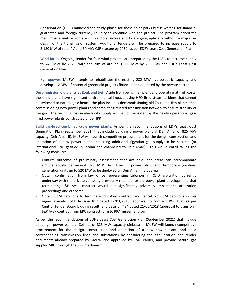Conservation (LCEC) launched the study phase for these solar parks but is waiting for financial guarantee and foreign currency liquidity to continue with the project. The program prioritizes medium-size units which are simpler to structure and locate geographically without a major redesign of the transmission system. Additional tenders will be prepared to increase supply to 2,180 MW of solar PV and 50 MW CSP storage by 2030, as per EDF's Least Cost Generation Plan

- ‐ Wind farms. Ongoing tender for four wind projects are prepared by the LCEC to increase supply to 746 MW by 2028, with the aim of around 1,000 MW by 2030, as per EDF's Least Cost Generation Plan
- ‐ Hydropower. MoEW intends to rehabilitate the existing 282 MW hydroelectric capacity and develop 112 MW of potential greenfield projects financed and operated by the private sector

**Decommission old plants at Zouk and Jieh**. Aside from being inefficient and operating at high costs, these old plants have significant environmental impacts using HFO‐fired steam turbines that cannot be switched to natural gas; hence, the plan includes decommissioning old Zouk and Jieh plants once commissioning new power plants and completing related transmission network to ensure stability of the grid. The resulting loss in electricity supply will be compensated by the newly operational gasfired power plants constructed under IPP

**Build gas‐fired combined cycle power plants**. As per the recommendations of EDF's Least Cost Generation Plan (September 2021) that include building a power plant at Deir Amar of 825 MW capacity (Deir Amar II), MoEW will launch competitive procurement for the design, construction and operation of a new power plant and using additional Egyptian gas supply to be secured (or international LNG gasified in Jordan and channeled to Deir Amar). This would entail taking the following measures:

- ‐ Confirm outcome of preliminary assessment that available land areas can accommodate simultaneously permanent 825 MW Deir Amar II power plant and temporary gas‐fired generation units up to 520 MW to be deployed on Deir Amar III plot area
- ‐ Obtain confirmation from law office representing Lebanon in ICSID arbitration currently underway with the private company previously retained for the power plant development, that terminating J&P Avax contract would not significantly adversely impact the arbitration proceedings and outcome
- ‐ Obtain CoM decisions to terminate J&P Avax contract and cancel old CoM decisions in this regard namely CoM decision #17 dated 12/03/2013 (approval to contract J&P Avax as per Central Tender Board bidding result) and decision #84 dated 21/05/2018 (approval to transform J&P Avax contract from EPC contract form to PPA agreement form)

As per the recommendations of EDF's Least Cost Generation Plan (September 2021) that include building a power plant at Selaata of 825 MW capacity (Selaata I), MoEW will launch competitive procurement for the design, construction and operation of a new power plant, and build corresponding transmission lines and substations by considering the site location and tender documents already prepared by MoEW and approved by CoM earlier, and provide natural gas supply/FSRU, through the PPP mechanism.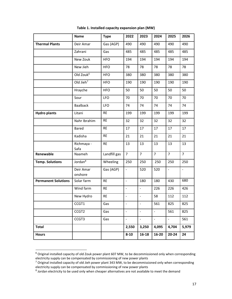|                            | <b>Name</b>           | <b>Type</b>  | 2022                         | 2023                     | 2024           | 2025           | 2026           |
|----------------------------|-----------------------|--------------|------------------------------|--------------------------|----------------|----------------|----------------|
| <b>Thermal Plants</b>      | Deir Amar             | Gas (AGP)    | 490                          | 490                      | 490            | 490            | 490            |
|                            | Zahrani               | Gas          | 485                          | 485                      | 485            | 485            | 485            |
|                            | New Zouk              | <b>HFO</b>   | 194                          | 194                      | 194            | 194            | 194            |
|                            | New Jieh              | <b>HFO</b>   | 78                           | 78                       | 78             | 78             | 78             |
|                            | Old Zouk <sup>6</sup> | <b>HFO</b>   | 380                          | 380                      | 380            | 380            | 380            |
|                            | Old Jieh $7$          | <b>HFO</b>   | 190                          | 190                      | 190            | 190            | 190            |
|                            | Hrayche               | <b>HFO</b>   | 50                           | 50                       | 50             | 50             | 50             |
|                            | Sour                  | <b>LFO</b>   | 70                           | 70                       | 70             | 70             | 70             |
|                            | <b>Baalback</b>       | <b>LFO</b>   | 74                           | 74                       | 74             | 74             | 74             |
| <b>Hydro plants</b>        | Litani                | <b>RE</b>    | 199                          | 199                      | 199            | 199            | 199            |
|                            | Nahr Ibrahim          | <b>RE</b>    | 32                           | 32                       | 32             | 32             | 32             |
|                            | <b>Bared</b>          | <b>RE</b>    | 17                           | 17                       | 17             | 17             | 17             |
|                            | Kadisha               | <b>RE</b>    | 21                           | 21                       | 21             | 21             | 21             |
|                            | Richmaya -<br>Safa    | <b>RE</b>    | 13                           | 13                       | 13             | 13             | 13             |
| Renewable                  | Naameh                | Landfill gas | $\overline{7}$               | $\overline{7}$           | $\overline{7}$ | $\overline{7}$ | $\overline{7}$ |
| <b>Temp. Solutions</b>     | Jordan <sup>8</sup>   | Wheeling     | 250                          | 250                      | 250            | 250            | 250            |
|                            | Deir Amar<br>onshore  | Gas (AGP)    | $\overline{\phantom{a}}$     | 520                      | 520            | $\omega$       | $\blacksquare$ |
| <b>Permanent Solutions</b> | Solar farm            | <b>RE</b>    | $\Box$                       | 180                      | 180            | 430            | 680            |
|                            | Wind farm             | <b>RE</b>    | $\blacksquare$               | $\blacksquare$           | 226            | 226            | 426            |
|                            | New Hydro             | <b>RE</b>    | $\frac{1}{2}$                | $\blacksquare$           | 58             | 112            | 112            |
|                            | CCGT1                 | Gas          | $\qquad \qquad \blacksquare$ | $\overline{\phantom{0}}$ | 561            | 825            | 825            |
|                            | CCGT2                 | Gas          | $\blacksquare$               |                          | ÷,             | 561            | 825            |
|                            | CCGT3                 | Gas          | $\overline{\phantom{a}}$     | $\equiv$                 | $\omega$       | $\equiv$       | 561            |
| <b>Total</b>               |                       |              | 2,550                        | 3,250                    | 4,095          | 4,704          | 5,979          |
| <b>Hours</b>               |                       |              | $8 - 10$                     | 16-18                    | 16-20          | $20 - 24$      | 24             |

**Table 1. Installed capacity expansion plan (MW)**

 $^6$  Original installed capacity of old Zouk power plant 607 MW, to be decommissioned only when corresponding electricity supply can be compensated by commissioning of new power plants

<sup>&</sup>lt;sup>7</sup> Original installed capacity of old Jieh power plant 343 MW, to be decommissioned only when corresponding electricity supply can be compensated by commissioning of new power plants

<sup>&</sup>lt;sup>8</sup> Jordan electricity to be used only when cheaper alternatives are not available to meet the demand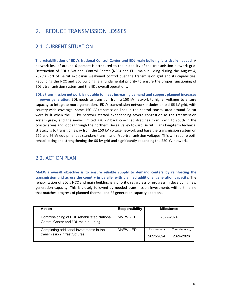# 2. REDUCE TRANSMISSION LOSSES

## 2.1. CURRENT SITUATION

**The rehabilitation of EDL's National Control Center and EDL main building is critically needed**. A network loss of around 6 percent is attributed to the instability of the transmission network grid. Destruction of EDL's National Control Center (NCC) and EDL main building during the August 4, 2020's Port of Beirut explosion weakened control over the transmission grid and its capabilities. Rebuilding the NCC and EDL building is a fundamental priority to ensure the proper functioning of EDL's transmission system and the EDL overall operations.

**EDL's transmission network is not able to meet increasing demand and support planned increases in power generation.** EDL needs to transition from a 150 kV network to higher voltages to ensure capacity to integrate more generation. EDL's transmission network includes an old 66 kV grid, with country‐wide coverage; some 150 kV transmission lines in the central coastal area around Beirut were built when the 66 kV network started experiencing severe congestion as the transmission system grew; and the newer limited 220 kV backbone that stretches from north to south in the coastal areas and loops through the northern Bekaa Valley toward Beirut. EDL's long‐term technical strategy is to transition away from the 150 kV voltage network and base the transmission system on 220 and 66 kV equipment as standard transmission/sub‐transmission voltages. This will require both rehabilitating and strengthening the 66‐kV grid and significantly expanding the 220‐kV network.

### 2.2. ACTION PLAN

**MoEW's overall objective is to ensure reliable supply to demand centers by reinforcing the transmission grid across the country in parallel with planned additional generation capacity**. The rehabilitation of EDL's NCC and main building is a priority, regardless of progress in developing new generation capacity. This is closely followed by needed transmission investments with a timeline that matches progress of planned thermal and RE generation capacity additions.

| <b>Action</b>                                                                       | <b>Responsibility</b> | <b>Milestones</b>        |                            |
|-------------------------------------------------------------------------------------|-----------------------|--------------------------|----------------------------|
| Commissioning of EDL rehabilitated National<br>Control Center and EDL main building | MoFW - FDI            | 2022-2024                |                            |
| Completing additional investments in the<br>transmission infrastructures            | MoFW - FDI            | Procurement<br>2023-2024 | Commissioning<br>2024-2026 |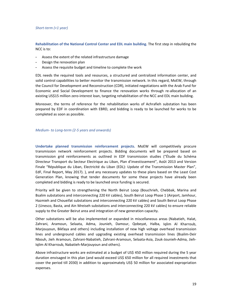#### *Short‐term (<1 year)*

**Rehabilitation of the National Control Center and EDL main building.** The first step in rebuilding the NCC is to:

- Assess the extent of the related infrastructure damage
- Design the renovation plan
- Assess the requisite budget and timeline to complete the work

EDL needs the required tools and resources, a structured and centralized information center, and solid control capabilities to better monitor the transmission network. In this regard, MoEW, through the Council for Development and Reconstruction (CDR), initiated negotiations with the Arab Fund for Economic and Social Development to finance the renovation works through re‐allocation of an existing US\$15 million zero-interest loan, targeting rehabilitation of the NCC and EDL main building.

Moreover, the terms of reference for the rehabilitation works of Achrafieh substation has been prepared by EDF in coordination with EBRD, and bidding is ready to be launched for works to be completed as soon as possible.

#### *Medium‐ to Long‐term (2‐5 years and onwards)*

**Undertake planned transmission reinforcement projects.** MoEW will competitively procure transmission network reinforcement projects. Bidding documents will be prepared based on transmission grid reinforcements as outlined in EDF transmission studies ("Étude du Schéma Directeur Transport du Secteur Electrique au Liban, Plan d'investissement", Août 2013 and Version Finale "République du Liban, Electricité du Liban (EDL): Update of the Transmission Master Plan", EdF, Final Report, May 2017). ), and any necessary updates to these plans based on the Least Cost Generation Plan, knowing that tender documents for some these projects have already been completed and bidding is ready to be launched once funding is secured.

Priority will be given to strengthening the North Beirut Loop (Bouchrieh, Chebbak, Marina and Bsalim substations and interconnecting 220 kV cables), South Beirut Loop Phase 1 (Airport, Jamhour, Hazmieh and Choueifat substations and interconnecting 220 kV cables) and South Beirut Loop Phase 2 (Unesco, Basta, and Ain Mreiseh substations and interconnecting 220 kV cables) to ensure reliable supply to the Greater Beirut area and integration of new generation capacity.

Other substations will be also implemented or expanded in miscellaneous areas (Nabatieh, Halat, Zahrani, Aramoun, Selaata, Adma, Jounieh, Damour, Qobeyat, Halba, Iqlim Al Kharroub, Marjouyoun, Bikfaya and others) including installation of new high voltage overhead transmission lines and underground cables and upgrading existing overhead transmission lines (Bsalim‐Deir Nbouh, Jieh Aramoun, Zahrani‐Nabatieh, Zahrani‐Aramoun, Selaata‐Asia, Zouk‐Jounieh‐Adma, Jieh‐ Iqlim Al Kharroub, Nabatieh‐Marjouyoun and others).

Above infrastructure works are estimated at a budget of US\$ 450 million required during the 5 year duration envisaged in this plan (and would exceed US\$ 650 million for all required investments that cover the period till 2030) in addition to approximately US\$ 50 million for associated expropriation expenses.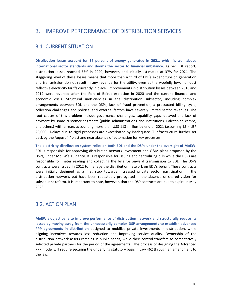## 3. IMPROVE PERFORMANCE OF DISTRIBUTION SERVICES

### 3.1. CURRENT SITUATION

**Distribution losses account for 37 percent of energy generated in 2021, which is well above international sector standards and dooms the sector to financial imbalance.** As per EDF report, distribution losses reached 33% in 2020; however, and initially estimated at 37% for 2021. The staggering level of these losses means that more than a third of EDL's expenditure on generation and transmission do not result in any revenue for the utility, even at the woefully low, non‐cost reflective electricity tariffs currently in place. Improvements in distribution losses between 2018 and 2019 were reversed after the Port of Beirut explosion in 2020 and the current financial and economic crisis. Structural inefficiencies in the distribution subsector, including complex arrangements between EDL and the DSPs, lack of fraud prevention, a protracted billing cycle, collection challenges and political and external factors have severely limited sector revenues. The root causes of this problem include governance challenges, capability gaps, delayed and lack of payment by some customer segments (public administrations and institutions, Palestinian camps, and others) with arrears accounting more than US\$ 113 million by end of 2021 (assuming  $1\overline{5}$  = LBP 20,000). Delays due to rigid processes are exacerbated by inadequate IT infrastructure further set back by the August  $4<sup>th</sup>$  blast and near absence of automation for key processes.

**The electricity distribution system relies on both EDL and the DSPs under the oversight of MoEW**. EDL is responsible for approving distribution network investment and O&M plans proposed by the DSPs, under MoEW's guidance. It is responsible for issuing and centralizing bills while the DSPs are responsible for meter reading and collecting the bills for onward transmission to EDL. The DSPs contracts were issued in 2012 to manage the distribution network on EDL's behalf. These contracts were initially designed as a first step towards increased private sector participation in the distribution network, but have been repeatedly prorogated in the absence of shared vision for subsequent reform. It is important to note, however, that the DSP contracts are due to expire in May 2023.

### 3.2. ACTION PLAN

**MoEW's objective is to improve performance of distribution network and structurally reduce its losses by moving away from the unnecessarily complex DSP arrangements to establish advanced PPP agreements in distribution** designed to mobilize private investments in distribution, while aligning incentives towards loss reduction and improving service quality. Ownership of the distribution network assets remains in public hands, while their control transfers to competitively selected private partners for the period of the agreements. The process of designing the Advanced PPP model will require securing the underlying statutory basis in Law 462 through an amendment to the law.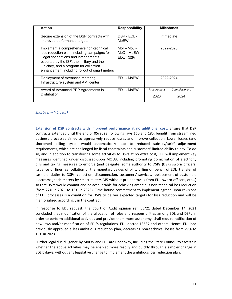| <b>Action</b>                                                                                                                                                                                                                                                              | <b>Responsibility</b>                       |                     | <b>Milestones</b>     |
|----------------------------------------------------------------------------------------------------------------------------------------------------------------------------------------------------------------------------------------------------------------------------|---------------------------------------------|---------------------|-----------------------|
| Secure extension of the DSP contracts with<br>improved performance targets                                                                                                                                                                                                 | DSP - EDL -<br>MoEW                         |                     | immediate             |
| Implement a comprehensive non-technical<br>loss reduction plan, including campaigns for<br>illegal connections and infringements,<br>escorted by the ISF, the military and the<br>judiciary, and a program for collection<br>enhancement including rollout of smart meters | $Mol - Mol -$<br>MoD - MoEW -<br>EDL - DSPs | 2022-2023           |                       |
| Deployment of Advanced metering<br>Infrastructure system and AMI center                                                                                                                                                                                                    | EDL - MoEW                                  | 2022-2024           |                       |
| Award of Advanced PPP Agreements in<br><b>Distribution</b>                                                                                                                                                                                                                 | EDL - MoEW                                  | Procurement<br>2023 | Commissioning<br>2024 |

### *Short‐term (<1 year)*

**Extension of DSP contracts with improved performance at no additional cost.** Ensure that DSP contracts extended until the end of 05/2023, following laws 160 and 185, benefit from streamlined business processes aimed to aggressively reduce losses and improve collection. Lower losses (and shortened billing cycle) would automatically lead to reduced subsidy/tariff adjustment requirements, which are challenged by fiscal constraints and customers' limited ability to pay. To do so, and in addition to transferring some activities to DSPs at no extra cost, EDL will implement key measures identified under discussed‐upon MOU3, including promoting domiciliation of electricity bills and taking measures to enforce (and delegate) some authority to DSPs (DSPs sworn officers, issuance of fines, cancellation of the monetary values of bills, billing on behalf of EDL, transfer of cashiers' duties to DSPs, collection, disconnection, customers' services, replacement of customers electromagnetic meters by smart meters M5 without pre‐approvals from EDL sworn officers, etc...) so that DSPs would commit and be accountable for achieving ambitious non-technical loss reduction (from 27% in 2021 to 13% in 2023). Time‐bound commitment to implement agreed‐upon revisions of EDL processes is a condition for DSPs to deliver expected targets for loss reduction and will be memorialized accordingly in the contract.

In response to EDL request, the Court of Audit opinion ref. 65/21 dated December 14, 2021 concluded that modification of the allocation of roles and responsibilities among EDL and DSPs in order to perform additional activities and provide them more autonomy, shall require ratification of new laws and/or modification of EDL's regulations, EDL decree 13537 and others. Hence, EDL had previously approved a less ambitious reduction plan, decreasing non‐technical losses from 27% to 19% in 2023.

Further legal due diligence by MoEW and EDL are underway, including the State Council, to ascertain whether the above activities may be enabled more readily and quickly through a simpler change in EDL bylaws, without any legislative change to implement the ambitious loss reduction plan.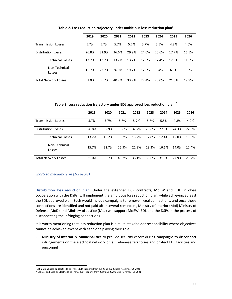|                             | 2019  | 2020  | 2021  | 2022  | 2023  | 2024  | 2025  | 2026  |
|-----------------------------|-------|-------|-------|-------|-------|-------|-------|-------|
| <b>Transmission Losses</b>  | 5.7%  | 5.7%  | 5.7%  | 5.7%  | 5.7%  | 5.5%  | 4.8%  | 4.0%  |
| <b>Distribution Losses</b>  | 26.8% | 32.9% | 36.6% | 29.9% | 24.0% | 20.6% | 17.7% | 16.5% |
| <b>Technical Losses</b>     | 13.2% | 13.2% | 13.2% | 13.2% | 12.8% | 12.4% | 12.0% | 11.6% |
| Non-Technical<br>Losses     | 15.7% | 22.7% | 26.9% | 19.2% | 12.8% | 9.4%  | 6.5%  | 5.6%  |
| <b>Total Network Losses</b> | 31.0% | 36.7% | 40.2% | 33.9% | 28.4% | 25.0% | 21.6% | 19.9% |

**Table 2. Loss reduction trajectory under ambitious loss reduction plan9**

**Table 3. Loss reduction trajectory under EDL approved loss reduction plan10**

|                             | 2019  | 2020  | 2021  | 2022  | 2023  | 2024  | 2025  | 2026  |
|-----------------------------|-------|-------|-------|-------|-------|-------|-------|-------|
| <b>Transmission Losses</b>  | 5.7%  | 5.7%  | 5.7%  | 5.7%  | 5.7%  | 5.5%  | 4.8%  | 4.0%  |
| <b>Distribution Losses</b>  | 26.8% | 32.9% | 36.6% | 32.2% | 29.6% | 27.0% | 24.3% | 22.6% |
| <b>Technical Losses</b>     | 13.2% | 13.2% | 13.2% | 13.2% | 12.8% | 12.4% | 12.0% | 11.6% |
| Non-Technical<br>Losses     | 15.7% | 22.7% | 26.9% | 21.9% | 19.3% | 16.6% | 14.0% | 12.4% |
| <b>Total Network Losses</b> | 31.0% | 36.7% | 40.2% | 36.1% | 33.6% | 31.0% | 27.9% | 25.7% |

*Short‐ to medium‐term (1‐2 years)*

**Distribution loss reduction plan**. Under the extended DSP contracts, MoEW and EDL, in close cooperation with the DSPs, will implement the ambitious loss reduction plan, while achieving at least the EDL approved plan. Such would include campaigns to remove illegal connections, and once these connections are identified and not paid after several reminders, Ministry of Interior (MoI) Ministry of Defense (MoD) and Ministry of Justice (MoJ) will support MoEW, EDL and the DSPs in the process of disconnecting the infringing connections.

It is worth mentioning that loss reduction plan is a multi-stakeholder responsibility where objectives cannot be achieved except with each one playing their role:

‐ **Ministry of Interior & Municipalities** to provide security escort during campaigns to disconnect infringements on the electrical network on all Lebanese territories and protect EDL facilities and personnel

<sup>9</sup> Estimation based on Électricité de France (EDF) reports from 2019 and 2020 dated November 29 2021

<sup>10</sup> Estimation based on Électricité de France (EDF) reports from 2019 and 2020 dated November 29 2021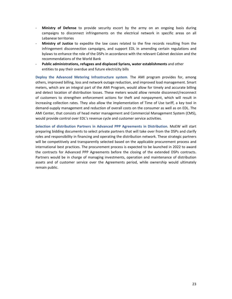- ‐ **Ministry of Defense** to provide security escort by the army on an ongoing basis during campaigns to disconnect infringements on the electrical network in specific areas on all Lebanese territories
- ‐ **Ministry of Justice** to expedite the law cases related to the fine records resulting from the infringement disconnection campaigns, and support EDL in amending certain regulations and bylaws to enhance the role of the DSPs in accordance with the relevant Cabinet decision and the recommendations of the World Bank
- ‐ **Public administrations, refugees and displaced Syrians, water establishments** and other entities to pay their overdue and future electricity bills

**Deploy the Advanced Metering Infrastructure system**. The AMI program provides for, among others, improved billing, loss and network outage reduction, and improved load management. Smart meters, which are an integral part of the AMI Program, would allow for timely and accurate billing and detect location of distribution losses. These meters would allow remote disconnect/reconnect of customers to strengthen enforcement actions for theft and nonpayment, which will result in increasing collection rates. They also allow the implementation of Time of Use tariff, a key tool in demand‐supply management and reduction of overall costs on the consumer as well as on EDL. The AMI Center, that consists of head meter management and Commercial Management System (CMS), would provide control over EDL's revenue cycle and customer service activities.

**Selection of distribution Partners in Advanced PPP Agreements in Distribution**. MoEW will start preparing bidding documents to select private partners that will take over from the DSPs and clarify roles and responsibility in financing and operating the distribution network. These strategic partners will be competitively and transparently selected based on the applicable procurement process and international best practices. The procurement process is expected to be launched in 2022 to award the contracts for Advanced PPP Agreements before the closing of the extended DSPs contracts. Partners would be in charge of managing investments, operation and maintenance of distribution assets and of customer service over the Agreements period, while ownership would ultimately remain public.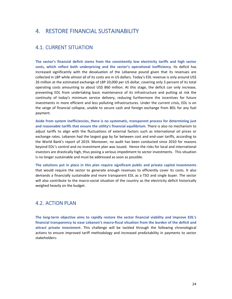## 4. RESTORE FINANCIAL SUSTAINABILITY

### 4.1. CURRENT SITUATION

**The sector's financial deficit stems from the consistently low electricity tariffs and high sector costs, which reflect both underpricing and the sector's operational inefficiency**. Its deficit has increased significantly with the devaluation of the Lebanese pound given that its revenues are collected in LBP while almost all of its costs are in US dollars. Today's EDL revenue is only around US\$ 26 million at the estimated exchange of LBP 20,000 per US dollar, covering only 3 percent of its total operating costs amounting to about US\$ 860 million. At this stage, the deficit can only increase, preventing EDL from undertaking basic maintenance of its infrastructure and putting at risk the continuity of today's minimum service delivery, reducing furthermore the incentives for future investments in more efficient and less polluting infrastructures. Under the current crisis, EDL is on the verge of financial collapse, unable to secure cash and foreign exchange from BDL for any fuel payment.

**Aside from system inefficiencies, there is no systematic, transparent process for determining just and reasonable tariffs that ensure the utility's financial equilibrium**. There is also no mechanism to adjust tariffs to align with the fluctuations of external factors such as international oil prices or exchange rates. Lebanon had the largest gap by far between cost and end-user tariffs, according to the World Bank's report of 2019. Moreover, no audit has been conducted since 2010 for reasons beyond EDL's control and no investment plan was issued. Hence the risks for local and international investors are drastically high, thus posing a serious impediment to sector investments. This situation is no longer sustainable and must be addressed as soon as possible.

**The solutions put in place in this plan require significant public and private capital investments** that would require the sector to generate enough revenues to efficiently cover its costs. It also demands a financially sustainable and more transparent EDL as a TSO and single buyer. The sector will also contribute to the macro‐social situation of the country as the electricity deficit historically weighed heavily on the budget.

### 4.2. ACTION PLAN

**The long‐term objective aims to rapidly restore the sector financial viability and improve EDL's financial transparency to ease Lebanon's macro‐fiscal situation from the burden of the deficit and attract private investment**. This challenge will be tackled through the following chronological actions to ensure improved tariff methodology and increased predictability in payments to sector stakeholders: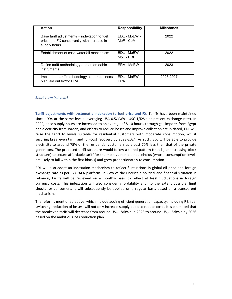| <b>Action</b>                                                                                              | <b>Responsibility</b>      | <b>Milestones</b> |
|------------------------------------------------------------------------------------------------------------|----------------------------|-------------------|
| Base tariff adjustments + indexation to fuel<br>price and FX concurrently with increase in<br>supply hours | EDL - MoEW -<br>MoF - CoM  | 2022              |
| Establishment of cash waterfall mechanism                                                                  | EDL - MoEW -<br>MoF - BDL  | 2022              |
| Define tariff methodology and enforceable<br>instruments                                                   | ERA - MoEW                 | 2023              |
| Implement tariff methodology as per business<br>plan laid out by/for ERA                                   | EDL - MoEW -<br><b>ERA</b> | 2023-2027         |

### *Short‐term (<1 year)*

**Tariff adjustments with systematic indexation to fuel price and FX.** Tariffs have been maintained since 1994 at the same levels (averaging US¢ 0.5/kWh - US¢ 1/KWh at present exchange rate). In 2022, once supply hours are increased to an average of 8‐10 hours, through gas imports from Egypt and electricity from Jordan, and efforts to reduce losses and improve collection are initiated, EDL will raise the tariff to levels suitable for residential customers with moderate consumption, whilst securing breakeven tariff and full-cost recovery by 2023-2024. As such, EDL will be able to provide electricity to around 75% of the residential customers at a cost 70% less than that of the private generators. The proposed tariff structure would follow a tiered pattern (that is, an increasing block structure) to secure affordable tariff for the most vulnerable households (whose consumption levels are likely to fall within the first blocks) and grow proportionately to consumption.

EDL will also adopt an indexation mechanism to reflect fluctuations in global oil price and foreign exchange rate as per SAYRAFA platform. In view of the uncertain political and financial situation in Lebanon, tariffs will be reviewed on a monthly basis to reflect at least fluctuations in foreign currency costs. This indexation will also consider affordability and, to the extent possible, limit shocks for consumers. It will subsequently be applied on a regular basis based on a transparent mechanism.

The reforms mentioned above, which include adding efficient generation capacity, including RE, fuel switching, reduction of losses, will not only increase supply but also reduce costs. It is estimated that the breakeven tariff will decrease from around US¢ 18/kWh in 2023 to around US¢ 15/kWh by 2026 based on the ambitious loss reduction plan.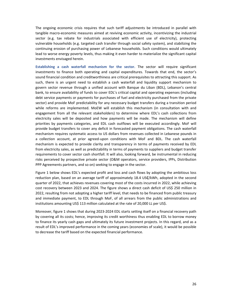The ongoing economic crisis requires that such tariff adjustments be introduced in parallel with tangible macro‐economic measures aimed at reviving economic activity, incentivizing the industrial sector (e.g. tax rebate for industrials associated with efficient use of electricity), protecting vulnerable households (e.g. targeted cash transfer through social safety system), and stabilizing the continuing erosion of purchasing power of Lebanese households. Such conditions would ultimately lead to worse energy poverty levels, thus making it even harder to materialize the significant capital investments envisaged herein.

**Establishing a cash waterfall mechanism for the sector.** The sector will require significant investments to finance both operating and capital expenditures. Towards that end, the sector's sound financial condition and creditworthiness are critical prerequisites to attracting this support. As such, there is an urgent need to establish a cash waterfall and liquidity support mechanism to govern sector revenue through a unified account with Banque du Liban (BDL), Lebanon's central bank, to ensure availability of funds to cover EDL's critical capital and operating expenses (including debt service payments or payments for purchases of fuel and electricity purchased from the private sector) and provide MoF predictability for any necessary budget transfers during a transition period while reforms are implemented. MoEW will establish this mechanism (in consultation with and engagement from all the relevant stakeholders) to determine where EDL's cash collections from electricity sales will be deposited and how payments will be made. The mechanism will define priorities by payments categories, and EDL cash outflows will be executed accordingly. MoF will provide budget transfers to cover any deficit in forecasted payment obligations. The cash waterfall mechanism requires systematic access to US dollars from revenues collected in Lebanese pounds in a collection account, at prior agreed‐upon conditions with MoF and BDL. The cash waterfall mechanism is expected to provide clarity and transparency in terms of payments received by EDL from electricity sales, as well as predictability in terms of payments to suppliers and budget transfer requirements to cover sector cash shortfall. It will also, looking forward, be instrumental in reducing risks perceived by prospective private sector (O&M operators, service providers, IPPs, Distribution PPP Agreements partners, and so on) seeking to engage in the sector.

Figure 1 below shows EDL's expected profit and loss and cash flows by adopting the ambitious loss reduction plan, based on an average tariff of approximately 18.4 US₵/kWh, adopted in the second quarter of 2022, that achieves revenues covering most of the costs incurred in 2022, while achieving cost recovery between 2023 and 2024. The figure shows a direct cash deficit of US\$ 250 million in 2022, resulting from not adopting a higher tariff level, that needs to be financed from public treasury and immediate payment, to EDL through MoF, of all arrears from the public administrations and institutions amounting US\$ 113 million calculated at the rate of 20,000 LL per US\$.

Moreover, figure 1 shows that during 2023‐2024 EDL starts setting itself on a financial recovery path by covering all its costs; hence, improving its credit worthiness thus enabling EDL to borrow money to finance its yearly cash gaps and ultimately its future investment projects. In this regard, and as a result of EDL's improved performance in the coming years (economies of scale), it would be possible to decrease the tariff based on the expected financial performance.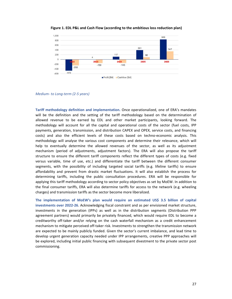

**Figure 1. EDL P&L and Cash Flow (according to the ambitious loss reduction plan)**

*Medium‐ to Long‐term (2‐5 years)*

**Tariff methodology definition and implementation.** Once operationalized, one of ERA's mandates will be the definition and the setting of the tariff methodology based on the determination of allowed revenue to be earned by EDL and other market participants, looking forward. The methodology will account for all the capital and operational costs of the sector (fuel costs, IPP payments, generation, transmission, and distribution CAPEX and OPEX, service costs, and financing costs) and also the efficient levels of these costs based on techno-economic analysis. This methodology will analyse the various cost components and determine their relevance, which will help to eventually determine the allowed revenues of the sector, as well as its adjustment mechanism (period of adjustments, adjustment factors). The ERA will also propose the tariff structure to ensure the different tariff components reflect the different types of costs (e.g. fixed versus variable, time of use, etc.) and differentiate the tariff between the different consumer segments, with the possibility of including targeted social tariffs (e.g. lifeline tariffs) to ensure affordability and prevent from drastic market fluctuations. It will also establish the process for determining tariffs, including the public consultation procedures. ERA will be responsible for applying this tariff methodology according to sector policy objectives as set by MoEW. In addition to the final consumer tariffs, ERA will also determine tariffs for access to the network (e.g. wheeling charges) and transmission tariffs as the sector become more liberalized.

**The implementation of MoEW's plan would require an estimated US\$ 3.5 billion of capital investments over 2022‐26**. Acknowledging fiscal constraint and as per envisioned market structure, investments in the generation (IPPs) as well as in the distribution segments (Distribution PPP agreement partners) would primarily be privately financed, which would require EDL to become a creditworthy off-taker and/or relying on the cash waterfall mechanism as a credit enhancement mechanism to mitigate perceived off‐taker risk. Investments to strengthen the transmission network are expected to be mainly publicly funded. Given the sector's current imbalance, and lead time to develop urgent generation capacity needed under IPP arrangements, creative PPP approaches will be explored, including initial public financing with subsequent divestment to the private sector post commissioning.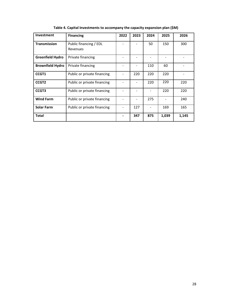| Investment              | <b>Financing</b>                   | 2022 | 2023 | 2024 | 2025  | 2026  |
|-------------------------|------------------------------------|------|------|------|-------|-------|
| <b>Transmission</b>     | Public financing / EDL<br>Revenues |      |      | 50   | 150   | 300   |
| <b>Greenfield Hydro</b> | Private financing                  |      |      |      |       |       |
| <b>Brownfield Hydro</b> | Private financing                  |      |      | 110  | 60    |       |
| CCGT1                   | Public or private financing        |      | 220  | 220  | 220   |       |
| CCGT <sub>2</sub>       | Public or private financing        |      |      | 220  | 220   | 220   |
| CCGT3                   | Public or private financing        |      |      |      | 220   | 220   |
| <b>Wind Farm</b>        | Public or private financing        |      |      | 275  |       | 240   |
| <b>Solar Farm</b>       | Public or private financing        |      | 127  |      | 169   | 165   |
| <b>Total</b>            |                                    |      | 347  | 875  | 1,039 | 1,145 |

**Table 4. Capital Investments to accompany the capacity expansion plan (\$M)**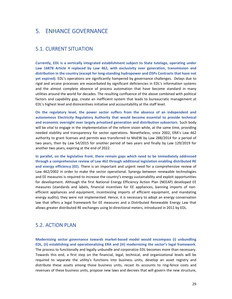## 5. ENHANCE GOVERNANCE

### 5.1. CURRENT SITUATION

**Currently, EDL is a vertically integrated establishment subject to State tutelage, operating under Law 16878 Article 4 replaced by Law 462, with exclusivity over generation, transmission and distribution in the country (except for long‐standing hydropower and DSPs Contracts that have not yet expired).** EDL's operations are significantly hampered by governance challenges. Delays due to rigid and arcane processes are exacerbated by significant deficiencies in EDL's information systems and the almost complete absence of process automation that have become standard in many utilities around the world for decades. The resulting confluence of the above combined with political factors and capability gap, create an inefficient system that leads to bureaucratic management at EDL's highest level and disincentives initiative and accountability at the staff level.

**On the regulatory level, the power sector suffers from the absence of an independent and autonomous Electricity Regulatory Authority that would become essential to provide technical and economic oversight over largely privatized generation and distribution subsectors**. Such body will be vital to engage in the implementation of the reform vision while, at the same time, providing needed stability and transparency for sector operations. Nonetheless, since 2002, ERA's Law 462 authority to grant licenses and permits was transferred to MoEW by Law 288/2014 for a period of two years, then by Law 54/2015 for another period of two years and finally by Law 129/2019 for another two years, expiring at the end of 2022.

**In parallel, on the legislative front, there remain gaps which need to be immediately addressed through a comprehensive review of Law 462 through additional legislation enabling distributed RE and energy efficiency (EE).** There is an important and urgent need for a comprehensive review of Law 462/2002 in order to make the sector operational. Synergy between renewable technologies and EE measures is required to increase the country's energy sustainability and exploit opportunities for development. Although the first National Energy Efficiency Action Plan (NEEAP) developed EE measures (standards and labels, financial incentives for EE appliances, banning imports of non‐ efficient appliances and equipment, incentivizing imports of efficient equipment, and mandating energy audits), they were not implemented. Hence, it is necessary to adopt an energy conservation law that offers a legal framework for EE measures and a Distributed Renewable Energy Law that allows greater distributed RE exchanges using bi‐directional meters, introduced in 2011 by EDL.

### 5.2. ACTION PLAN

**Modernizing sector governance towards market‐based model would encompass (i) unbundling EDL, (ii) establishing and operationalizing ERA and (iii) modernizing the sector's legal framework**. The process to functionally and legally unbundle and corporatize EDL becomes more than necessary. Towards this end, a first step on the financial, legal, technical, and organizational levels will be required to separate the utility's functions into business units, develop an asset registry and distribute these assets among those business units, recast its accounts to ring‐fence costs and revenues of these business units, propose new laws and decrees that will govern the new structure,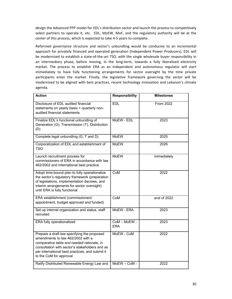design the Advanced PPP model for EDL's distribution sector and launch the process to competitively select partners to operate it, etc. EDL, MoEW, MoF, and the regulatory authority will be at the center of this process, which is expected to take 4‐5 years to complete.

Reformed governance structure and sector's unbundling would be conducive to an incremental approach for privately financed and operated generation (Independent Power Producers). EDL will be modernized to establish a state-of-the-art TSO, with the single wholesale buyer responsibility in an intermediary phase, before moving, in the long-term, towards a fully liberalized electricity market. The process to establish ERA as an independent and autonomous regulator will start immediately to have fully functioning arrangements for sector oversight by the time private participants enter the market. Finally, the legislative framework governing the sector will be modernized to be aligned with best practices, recent technology innovation and Lebanon's climate agenda.

| <b>Action</b>                                                                                                                                                                                                                                                  | <b>Responsibility</b>      | <b>Milestones</b> |  |  |
|----------------------------------------------------------------------------------------------------------------------------------------------------------------------------------------------------------------------------------------------------------------|----------------------------|-------------------|--|--|
| Disclosure of EDL audited financial<br>statements on yearly basis + quarterly non-<br>audited financial statements                                                                                                                                             | <b>EDL</b>                 | <b>From 2022</b>  |  |  |
| Finalize EDL's functional unbundling of<br>Generation (G), Transmission (T), Distribution<br>(D)                                                                                                                                                               | MoEW - EDL                 | 2023              |  |  |
| Complete legal unbundling (G, T and D)                                                                                                                                                                                                                         | <b>MoEW</b>                | 2025              |  |  |
| Corporatization of EDL and establishment of<br><b>TSO</b>                                                                                                                                                                                                      | <b>MoEW</b>                | 2026              |  |  |
| Launch recruitment process for<br>commissioners of ERA in accordance with law<br>462/2002 and international best practice                                                                                                                                      | <b>MoFW</b>                | immediately       |  |  |
| Adopt time-bound plan to fully operationalize<br>the sector's regulatory framework (preparation<br>of legislations, implementation decrees, and<br>interim arrangements for sector oversight)<br>until ERA is fully functional                                 | CoM                        | 2022              |  |  |
| ERA establishment (commissioners'<br>appointment, budget approved and funded)                                                                                                                                                                                  | CoM                        | end of 2022       |  |  |
| Set up internal organization and status, staff<br>recruited                                                                                                                                                                                                    | MoEW - ERA                 | 2023              |  |  |
| ERA fully operationalized                                                                                                                                                                                                                                      | CoM - MoEW -<br><b>ERA</b> | 2023              |  |  |
| Prepare a draft law specifying the proposed<br>amendments to law 462/2002 with a<br>comparative table and needed rationale, in<br>consultation with sector's stakeholders and as<br>per international best practices, and submit it<br>to the CoM for approval | MoEW - CoM                 | 2022              |  |  |
| Ratify Distributed Renewable Energy Law and                                                                                                                                                                                                                    | MoEW-CoM-                  | 2022              |  |  |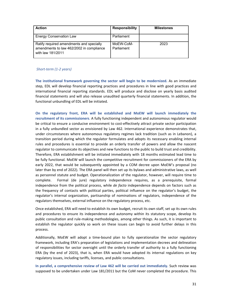| <b>Action</b>                                                                                             | <b>Responsibility</b>   | <b>Milestones</b> |
|-----------------------------------------------------------------------------------------------------------|-------------------------|-------------------|
| <b>Energy Conservation Law</b>                                                                            | Parliament              |                   |
| Ratify required amendments and specially<br>amendments to law 462/2002 in compliance<br>with law 181/2011 | MoEW-CoM-<br>Parliament | 2023              |

#### *Short‐term (1‐2 years)*

**The institutional framework governing the sector will begin to be modernized.** As an immediate step, EDL will develop financial reporting practices and procedures in line with good practices and international financial reporting standards. EDL will produce and disclose on yearly basis audited financial statements and will also release unaudited quarterly financial statements. In addition, the functional unbundling of EDL will be initiated.

**On the regulatory front, ERA will be established and MoEW will launch immediately the recruitment of its commissioners**. A fully functioning independent and autonomous regulator would be critical to ensure a conducive environment to cost-effectively attract private sector participation in a fully unbundled sector as envisioned by Law 462. International experience demonstrates that, under circumstances where autonomous regulatory regimes lack tradition (such as in Lebanon), a transition period during which the regulator formulates and adopts its necessary enabling internal rules and procedures is essential to provide an orderly transfer of powers and allow the nascent regulator to communicate its objectives and new functions to the public to build trust and credibility. Therefore, ERA establishment will be initiated immediately with 18 months estimated lead time to be fully functional. MoEW will launch the competitive recruitment for commissioners of the ERA by early 2022, that would be subsequently appointed by a COM decree upon MoEW's proposal (no later than by end of 2022). The ERA panel will then set up its bylaws and administrative laws, as well as personnel statute and budget. Operationalization of the regulator, however, will require time to complete. Formal (de jure) regulatory independence requires, as a prerequisite, formal independence from the political process, while *de facto* independence depends on factors such as the frequency of contacts with political parties, political influence on the regulator's budget, the regulator's internal organization, partisanship of nominations of regulators, independence of the regulators themselves, external influence on the regulatory process, etc.

Once established, ERA will need to establish its own budget, recruit its own staff, set up its own rules and procedures to ensure its independence and autonomy within its statutory scope, develop its public consultation and rule‐making methodologies, among other things. As such, it is important to establish the regulator quickly so work on these issues can begin to avoid further delays in this process.

Additionally, MoEW will adopt a time‐bound plan to fully operationalize the sector regulatory framework, including ERA's preparation of legislations and implementation decrees and delineation of responsibilities for sector oversight until the orderly transfer of authority to a fully functioning ERA (by the end of 2023), that is, when ERA would have adopted its internal regulations on key regulatory issues, including tariffs, licenses, and public consultations.

**In parallel, a comprehensive review of Law 462 will be carried out immediately.** Such review was supposed to be undertaken under Law 181/2011 but the CoM never completed the procedure. This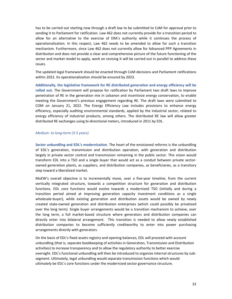has to be carried out starting now through a draft law to be submitted to CoM for approval prior to sending it to Parliament for ratification. Law 462 does not currently provide for a transition period to allow for an alternative to the exercise of ERA's authority while it continues the process of operationalization. In this respect, Law 462 needs to be amended to allow for such a transition mechanism. Furthermore, since Law 462 does not currently allow for Advanced PPP Agreements in distribution and does not provide a clear and comprehensive picture of the future functioning of the sector and market model to apply, work on revising it will be carried out in parallel to address these issues.

The updated legal framework should be enacted through CoM decisions and Parliament ratifications within 2022. Its operationalization should be ensured by 2023.

**Additionally, the legislative framework for RE distributed generation and energy efficiency will be rolled out.** The Government will propose for ratification by Parliament two draft laws to improve penetration of RE in the generation mix in Lebanon and incentivize energy conservation, to enable meeting the Government's previous engagement regarding RE. The draft laws were submitted to COM on January 21, 2022. The Energy Efficiency Law includes provisions to enhance energy efficiency, especially auditing environmental standards, applied by the industrial sector, related to energy efficiency of industrial products, among others. The distributed RE law will allow greater distributed RE exchanges using bi‐directional meters, introduced in 2011 by EDL.

#### *Medium‐ to long‐term (3‐5 years)*

**Sector unbundling and EDL's modernization**. The heart of the envisioned reforms is the unbundling of EDL's generation, transmission and distribution operation, with generation and distribution largely in private sector control and transmission remaining in the public sector. This vision would transform EDL into a TSO and a single buyer that would act as a conduit between private sector‐ owned generation plants, as suppliers, and distribution companies, as beneficiaries, as a transitory step toward a liberalized market.

MoEW's overall objective is to incrementally move, over a five-year timeline, from the current vertically integrated structure, towards a competition structure for generation and distribution functions. EDL core functions would evolve towards a modernized TSO (initially and during a transition period aimed at improving generation capacity investment conditions as a single wholesale‐buyer), while existing generation and distribution assets would be owned by newly created state‐owned generation and distribution enterprises (which could possibly be privatized over the long term). Single buyer arrangements would be a transition mechanism to achieve, over the long term, a full market‐based structure where generators and distribution companies can directly enter into bilateral arrangement. This transition is needed to allow newly established distribution companies to become sufficiently creditworthy to enter into power purchasing arrangements directly with generators.

On the basis of EDL's fixed assets registry and opening balances, EDL will proceed with account unbundling (that is, separate bookkeeping of activities in Generation, Transmission and Distribution activities) to increase transparency and to allow the regulatory authority to better exercise oversight. EDL's functional unbundling will then be introduced to organize internal structures by sub‐ segment. Ultimately, legal unbundling would separate transmission functions which would ultimately be EDL's core functions under the modernized sector governance structure.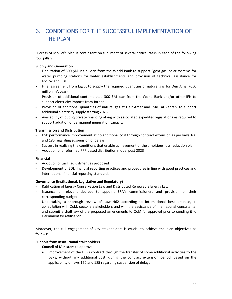# 6. CONDITIONS FOR THE SUCCESSFUL IMPLEMENTATION OF THE PLAN

Success of MoEW's plan is contingent on fulfilment of several critical tasks in each of the following four pillars:

### **Supply and Generation**

- Finalization of 300 \$M initial loan from the World Bank to support Egypt gas, solar systems for water pumping stations for water establishments and provision of technical assistance for MoEW and EDL
- Final agreement from Egypt to supply the required quantities of natural gas for Deir Amar (650 million m<sup>3</sup>/year)
- Provision of additional contemplated 300 \$M loan from the World Bank and/or other IFIs to support electricity imports from Jordan
- Provision of additional quantities of natural gas at Deir Amar and FSRU at Zahrani to support additional electricity supply starting 2023
- Availability of public/private financing along with associated expedited legislations as required to support addition of permanent generation capacity

### **Transmission and Distribution**

- ‐ DSP performance improvement at no additional cost through contract extension as per laws 160 and 185 regarding suspension of delays
- ‐ Success in realizing the conditions that enable achievement of the ambitious loss reduction plan
- ‐ Adoption of a reformed PPP based distribution model post 2023

### **Financial**

- ‐ Adoption of tariff adjustment as proposed
- ‐ Development of EDL financial reporting practices and procedures in line with good practices and international financial reporting standards

### **Governance (Institutional, Legislative and Regulatory)**

- ‐ Ratification of Energy Conservation Law and Distributed Renewable Energy Law
- ‐ Issuance of relevant decrees to appoint ERA's commissioners and provision of their corresponding budget
- ‐ Undertaking a thorough review of Law 462 according to international best practice, in consultation with CoM, sector's stakeholders and with the assistance of international consultants, and submit a draft law of the proposed amendments to CoM for approval prior to sending it to Parliament for ratification

Moreover, the full engagement of key stakeholders is crucial to achieve the plan objectives as follows:

### **Support from institutional stakeholders**

- ‐ **Council of Ministers** to approve:
	- Improvement of the DSPs contract through the transfer of some additional activities to the DSPs, without any additional cost, during the contract extension period, based on the applicability of laws 160 and 185 regarding suspension of delays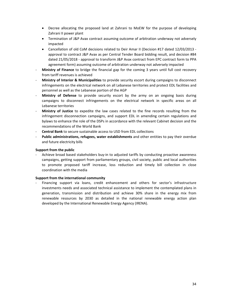- Decree allocating the proposed land at Zahrani to MoEW for the purpose of developing Zahrani II power plant
- Termination of J&P Avax contract assuming outcome of arbitration underway not adversely impacted
- Cancellation of old CoM decisions related to Deir Amar II (Decision #17 dated 12/03/2013 ‐ approval to contract J&P Avax as per Central Tender Board bidding result, and decision #84 dated 21/05/2018 ‐ approval to transform J&P Avax contract from EPC contract form to PPA agreement form) assuming outcome of arbitration underway not adversely impacted
- ‐ **Ministry of Finance** to bridge the financial gap for the coming 3 years until full cost recovery from tariff revenues is achieved
- ‐ **Ministry of Interior & Municipalities** to provide security escort during campaigns to disconnect infringements on the electrical network on all Lebanese territories and protect EDL facilities and personnel as well as the Lebanese portion of the AGP
- ‐ **Ministry of Defense** to provide security escort by the army on an ongoing basis during campaigns to disconnect infringements on the electrical network in specific areas on all Lebanese territories
- ‐ **Ministry of Justice** to expedite the law cases related to the fine records resulting from the infringement disconnection campaigns, and support EDL in amending certain regulations and bylaws to enhance the role of the DSPs in accordance with the relevant Cabinet decision and the recommendations of the World Bank
- ‐ **Central Bank** to secure sustainable access to USD from EDL collections
- ‐ **Public administrations, refugees, water establishments** and other entities to pay their overdue and future electricity bills

### **Support from the public**

Achieve broad based stakeholders buy-in to adjusted tariffs by conducting proactive awareness campaigns, getting support from parliamentary groups, civil society, public and local authorities to promote proposed tariff increase, loss reduction and timely bill collection in close coordination with the media

### **Support from the international community**

‐ Financing support via loans, credit enhancement and others for sector's infrastructure investments needs and associated technical assistance to implement the contemplated plans in generation, transmission and distribution and achieve 30% share in the energy mix from renewable resources by 2030 as detailed in the national renewable energy action plan developed by the International Renewable Energy Agency (IRENA).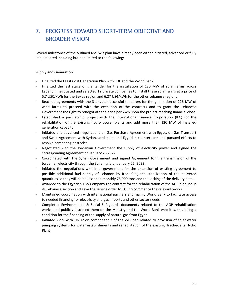# 7. PROGRESS TOWARD SHORT‐TERM OBJECTIVE AND BROADER VISION

Several milestones of the outlined MoEW's plan have already been either initiated, advanced or fully implemented including but not limited to the following:

### **Supply and Generation**

- ‐ Finalized the Least Cost Generation Plan with EDF and the World Bank
- Finalized the last stage of the tender for the installation of 180 MW of solar farms across Lebanon, negotiated and selected 12 private companies to install these solar farms at a price of 5.7 US₵/kWh for the Bekaa region and 6.27 US₵/kWh for the other Lebanese regions
- Reached agreements with the 3 private successful tenderers for the generation of 226 MW of wind farms to proceed with the execution of the contracts and to grant the Lebanese Government the right to renegotiate the price per kWh upon the project reaching financial close
- ‐ Established a partnership project with the International Finance Corporation (IFC) for the rehabilitation of the existing hydro power plants and add more than 120 MW of installed generation capacity
- ‐ Initiated and advanced negotiations on Gas Purchase Agreement with Egypt, on Gas Transport and Swap Agreement with Syrian, Jordanian, and Egyptian counterparts and pursued efforts to resolve hampering obstacles
- Negotiated with the Jordanian Government the supply of electricity power and signed the corresponding Agreement on January 26 2022
- ‐ Coordinated with the Syrian Government and signed Agreement for the transmission of the Jordanian electricity through the Syrian grid on January 26, 2022
- ‐ Initiated the negotiations with Iraqi government for the extension of existing agreement to possible additional fuel supply of Lebanon by Iraqi fuel, the stabilization of the delivered quantities so they will be no less than monthly 75,000 tons and the locking of the delivery dates
- ‐ Awarded to the Egyptian TGS Company the contract for the rehabilitation of the AGP pipeline in its Lebanese section and gave the service order to TGS to commence the relevant works
- ‐ Maintained coordination with international partners and mainly World Bank to facilitate access to needed financing for electricity and gas imports and other sector needs
- ‐ Completed Environmental & Social Safeguards documents related to the AGP rehabilitation works, and publicly disclosed them on the Ministry and the World Bank websites, this being a condition for the financing of the supply of natural gas from Egypt
- ‐ Initiated work with UNDP on component 2 of the WB loan related to provision of solar water pumping systems for water establishments and rehabilitation of the existing Hrache‐Jeita Hydro Plant